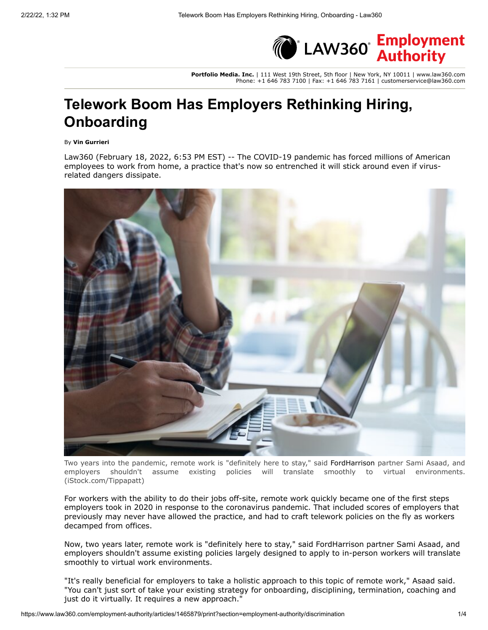

**Portfolio Media. Inc.** | 111 West 19th Street, 5th floor | New York, NY 10011 | www.law360.com Phone: +1 646 783 7100 | Fax: +1 646 783 7161 | customerservice@law360.com

# **Telework Boom Has Employers Rethinking Hiring, Onboarding**

By **Vin Gurrieri**

Law360 (February 18, 2022, 6:53 PM EST) -- The COVID-19 pandemic has forced millions of American employees to work from home, a practice that's now so entrenched it will stick around even if virusrelated dangers dissipate.



Two years into the pandemic, remote work is "definitely here to stay," said [FordHarrison](https://www.law360.com/firms/fordharrison) partner Sami Asaad, and employers shouldn't assume existing policies will translate smoothly to virtual environments. (iStock.com/Tippapatt)

For workers with the ability to do their jobs off-site, remote work quickly became one of the first steps employers took in 2020 in response to the coronavirus pandemic. That included scores of employers that previously may never have allowed the practice, and had to craft telework policies on the fly as workers decamped from offices.

Now, two years later, remote work is "definitely here to stay," said FordHarrison partner Sami Asaad, and employers shouldn't assume existing policies largely designed to apply to in-person workers will translate smoothly to virtual work environments.

"It's really beneficial for employers to take a holistic approach to this topic of remote work," Asaad said. "You can't just sort of take your existing strategy for onboarding, disciplining, termination, coaching and just do it virtually. It requires a new approach."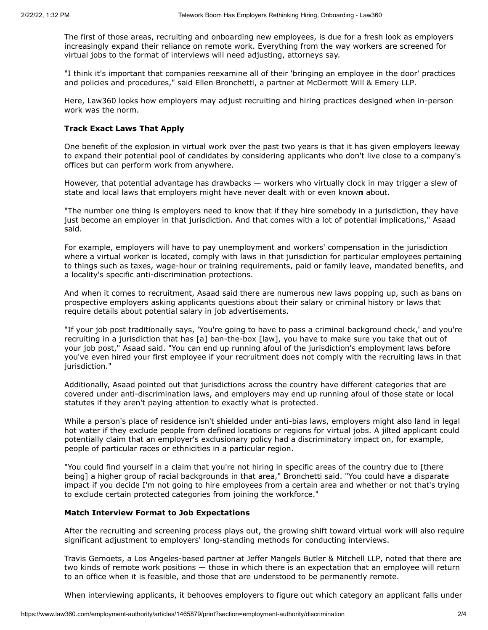The first of those areas, recruiting and onboarding new employees, is due for a fresh look as employers increasingly expand their reliance on remote work. Everything from the way workers are screened for virtual jobs to the format of interviews will need adjusting, attorneys say.

"I think it's important that companies reexamine all of their 'bringing an employee in the door' practices and policies and procedures," said Ellen Bronchetti, a partner at [McDermott Will & Emery LLP.](https://www.law360.com/firms/mcdermott-will)

Here, Law360 looks how employers may adjust recruiting and hiring practices designed when in-person work was the norm.

## **Track Exact Laws That Apply**

One benefit of the explosion in virtual work over the past two years is that it has given employers leeway to expand their potential pool of candidates by considering applicants who don't live close to a company's offices but can perform work from anywhere.

However, that potential advantage has drawbacks — workers who virtually clock in may trigger a slew of state and local laws that employers might have never dealt with or even know**n** about.

"The number one thing is employers need to know that if they hire somebody in a jurisdiction, they have just become an employer in that jurisdiction. And that comes with a lot of potential implications," Asaad said.

For example, employers will have to pay unemployment and workers' compensation in the jurisdiction where a virtual worker is located, comply with laws in that jurisdiction for particular employees pertaining to things such as taxes, wage-hour or training requirements, paid or family leave, mandated benefits, and a locality's specific anti-discrimination protections.

And when it comes to recruitment, Asaad said there are numerous new laws popping up, such as bans on prospective employers asking applicants questions about their salary or criminal history or laws that require details about potential salary in job advertisements.

"If your job post traditionally says, 'You're going to have to pass a criminal background check,' and you're recruiting in a jurisdiction that has [a] ban-the-box [law], you have to make sure you take that out of your job post," Asaad said. "You can end up running afoul of the jurisdiction's employment laws before you've even hired your first employee if your recruitment does not comply with the recruiting laws in that jurisdiction."

Additionally, Asaad pointed out that jurisdictions across the country have different categories that are covered under anti-discrimination laws, and employers may end up running afoul of those state or local statutes if they aren't paying attention to exactly what is protected.

While a person's place of residence isn't shielded under anti-bias laws, employers might also land in legal hot water if they exclude people from defined locations or regions for virtual jobs. A jilted applicant could potentially claim that an employer's exclusionary policy had a discriminatory impact on, for example, people of particular races or ethnicities in a particular region.

"You could find yourself in a claim that you're not hiring in specific areas of the country due to [there being] a higher group of racial backgrounds in that area," Bronchetti said. "You could have a disparate impact if you decide I'm not going to hire employees from a certain area and whether or not that's trying to exclude certain protected categories from joining the workforce."

## **Match Interview Format to Job Expectations**

After the recruiting and screening process plays out, the growing shift toward virtual work will also require significant adjustment to employers' long-standing methods for conducting interviews.

Travis Gemoets, a Los Angeles-based partner at [Jeffer Mangels Butler & Mitchell LLP](https://www.law360.com/firms/jeffer-mangels), noted that there are two kinds of remote work positions — those in which there is an expectation that an employee will return to an office when it is feasible, and those that are understood to be permanently remote.

When interviewing applicants, it behooves employers to figure out which category an applicant falls under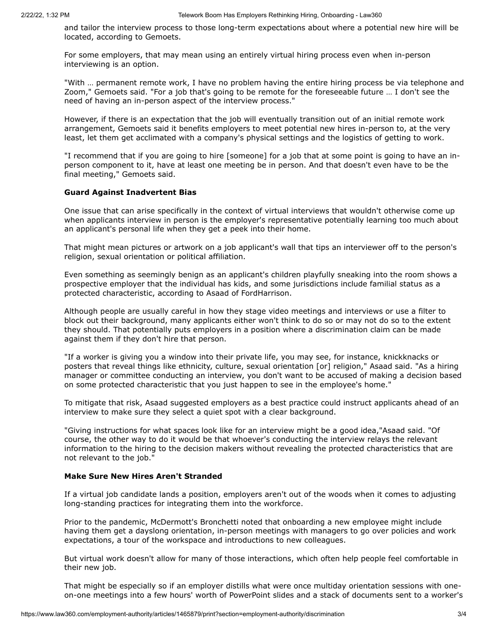and tailor the interview process to those long-term expectations about where a potential new hire will be located, according to Gemoets.

For some employers, that may mean using an entirely virtual hiring process even when in-person interviewing is an option.

"With … permanent remote work, I have no problem having the entire hiring process be via telephone and Zoom," Gemoets said. "For a job that's going to be remote for the foreseeable future … I don't see the need of having an in-person aspect of the interview process."

However, if there is an expectation that the job will eventually transition out of an initial remote work arrangement, Gemoets said it benefits employers to meet potential new hires in-person to, at the very least, let them get acclimated with a company's physical settings and the logistics of getting to work.

"I recommend that if you are going to hire [someone] for a job that at some point is going to have an inperson component to it, have at least one meeting be in person. And that doesn't even have to be the final meeting," Gemoets said.

#### **Guard Against Inadvertent Bias**

One issue that can arise specifically in the context of virtual interviews that wouldn't otherwise come up when applicants interview in person is the employer's representative potentially learning too much about an applicant's personal life when they get a peek into their home.

That might mean pictures or artwork on a job applicant's wall that tips an interviewer off to the person's religion, sexual orientation or political affiliation.

Even something as seemingly benign as an applicant's children playfully sneaking into the room shows a prospective employer that the individual has kids, and some jurisdictions include familial status as a protected characteristic, according to Asaad of FordHarrison.

Although people are usually careful in how they stage video meetings and interviews or use a filter to block out their background, many applicants either won't think to do so or may not do so to the extent they should. That potentially puts employers in a position where a discrimination claim can be made against them if they don't hire that person.

"If a worker is giving you a window into their private life, you may see, for instance, knickknacks or posters that reveal things like ethnicity, culture, sexual orientation [or] religion," Asaad said. "As a hiring manager or committee conducting an interview, you don't want to be accused of making a decision based on some protected characteristic that you just happen to see in the employee's home."

To mitigate that risk, Asaad suggested employers as a best practice could instruct applicants ahead of an interview to make sure they select a quiet spot with a clear background.

"Giving instructions for what spaces look like for an interview might be a good idea,"Asaad said. "Of course, the other way to do it would be that whoever's conducting the interview relays the relevant information to the hiring to the decision makers without revealing the protected characteristics that are not relevant to the job."

#### **Make Sure New Hires Aren't Stranded**

If a virtual job candidate lands a position, employers aren't out of the woods when it comes to adjusting long-standing practices for integrating them into the workforce.

Prior to the pandemic, McDermott's Bronchetti noted that onboarding a new employee might include having them get a dayslong orientation, in-person meetings with managers to go over policies and work expectations, a tour of the workspace and introductions to new colleagues.

But virtual work doesn't allow for many of those interactions, which often help people feel comfortable in their new job.

That might be especially so if an employer distills what were once multiday orientation sessions with oneon-one meetings into a few hours' worth of PowerPoint slides and a stack of documents sent to a worker's